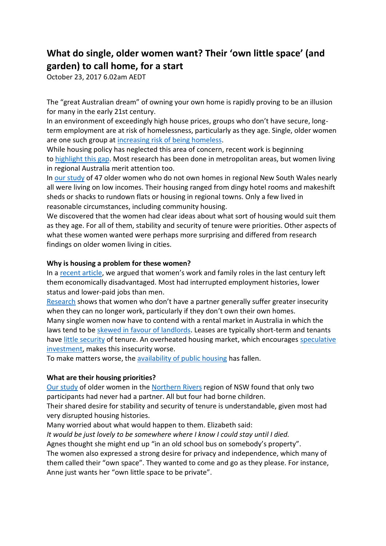## **What do single, older women want? Their 'own little space' (and garden) to call home, for a start**

October 23, 2017 6.02am AEDT

The "great Australian dream" of owning your own home is rapidly proving to be an illusion for many in the early 21st century.

In an environment of exceedingly high house prices, groups who don't have secure, longterm employment are at risk of homelessness, particularly as they age. Single, older women are one such group at [increasing risk of being homeless.](http://www.abc.net.au/news/2017-08-07/older-women-become-hidden-face-of-homelessness/8782816)

While housing policy has neglected this area of concern, recent work is beginning to [highlight this gap.](https://www.researchgate.net/profile/Andrea_Sharam/publication/280245079_Voices_of_midlife_women_facing_housing_insecurity/links/55af583208aed9b7dcddb7f6.pdf) Most research has been done in metropolitan areas, but women living in regional Australia merit attention too.

In [our study](https://doi.org/10.1016/j.jrurstud.2017.07.003) of 47 older women who do not own homes in regional New South Wales nearly all were living on low incomes. Their housing ranged from dingy hotel rooms and makeshift sheds or shacks to rundown flats or housing in regional towns. Only a few lived in reasonable circumstances, including community housing.

We discovered that the women had clear ideas about what sort of housing would suit them as they age. For all of them, stability and security of tenure were priorities. Other aspects of what these women wanted were perhaps more surprising and differed from research findings on older women living in cities.

## **Why is housing a problem for these women?**

In a [recent article](http://www.tandfonline.com/doi/abs/10.1080/14036096.2012.746944), we argued that women's work and family roles in the last century left them economically disadvantaged. Most had interrupted employment histories, lower status and lower-paid jobs than men.

[Research](https://aifs.gov.au/publications/consequences-divorce-financial-living-standards-i) shows that women who don't have a partner generally suffer greater insecurity when they can no longer work, particularly if they don't own their own homes. Many single women now have to contend with a rental market in Australia in which the laws tend to be [skewed in favour of landlords.](https://theconversation.com/for-renters-making-housing-more-affordable-is-just-the-start-76263) Leases are typically short-term and tenants have [little security](https://theconversation.com/rental-insecurity-why-fixed-long-term-leases-arent-the-answer-73114) of tenure. An overheated housing market, which encourages speculative [investment,](https://theconversation.com/what-housing-issues-should-the-budget-tackle-this-is-what-our-experts-say-73751) makes this insecurity worse.

To make matters worse, the [availability of public housing](https://search.informit.com.au/documentSummary;dn=388386634519941;res=IELBUS) has fallen.

## **What are their housing priorities?**

[Our study](https://doi.org/10.1016/j.jrurstud.2017.07.003) of older women in the [Northern Rivers](https://en.wikipedia.org/wiki/Northern_Rivers) region of NSW found that only two participants had never had a partner. All but four had borne children.

Their shared desire for stability and security of tenure is understandable, given most had very disrupted housing histories.

Many worried about what would happen to them. Elizabeth said:

*It would be just lovely to be somewhere where I know I could stay until I died.*

Agnes thought she might end up "in an old school bus on somebody's property".

The women also expressed a strong desire for privacy and independence, which many of them called their "own space". They wanted to come and go as they please. For instance, Anne just wants her "own little space to be private".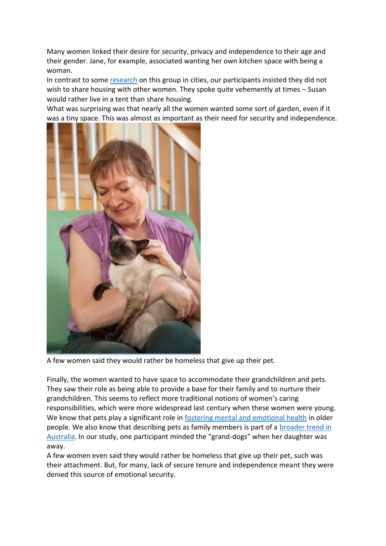Many women linked their desire for security, privacy and independence to their age and their gender. Jane, for example, associated wanting her own kitchen space with being a woman.

In contrast to some [research](https://www.researchgate.net/profile/Andrea_Sharam/publication/280245079_Voices_of_midlife_women_facing_housing_insecurity/links/55af583208aed9b7dcddb7f6.pdf) on this group in cities, our participants insisted they did not wish to share housing with other women. They spoke quite vehemently at times – Susan would rather live in a tent than share housing.

What was surprising was that nearly all the women wanted some sort of garden, even if it was a tiny space. This was almost as important as their need for security and independence.



A few women said they would rather be homeless that give up their pet.

Finally, the women wanted to have space to accommodate their grandchildren and pets. They saw their role as being able to provide a base for their family and to nurture their grandchildren. This seems to reflect more traditional notions of women's caring responsibilities, which were more widespread last century when these women were young. We know that pets play a significant role in [fostering mental and emotional health](http://www.center4research.org/benefits-pets-human-health/) in older people. We also know that describing pets as family members is part of a **broader trend in** [Australia](http://www.tandfonline.com/doi/abs/10.1080/14036090600813760). In our study, one participant minded the "grand-dogs" when her daughter was away.

A few women even said they would rather be homeless that give up their pet, such was their attachment. But, for many, lack of secure tenure and independence meant they were denied this source of emotional security.